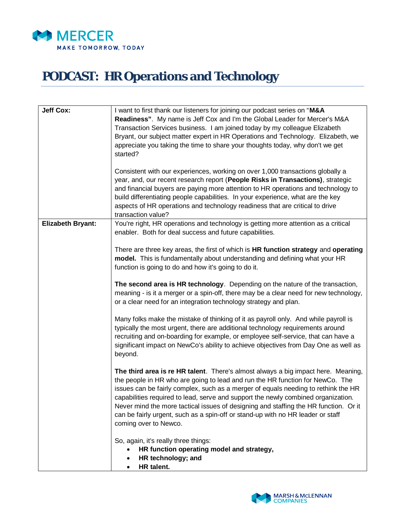

## **PODCAST: HR Operations and Technology**

| <b>Jeff Cox:</b>         | I want to first thank our listeners for joining our podcast series on "M&A<br>Readiness". My name is Jeff Cox and I'm the Global Leader for Mercer's M&A<br>Transaction Services business. I am joined today by my colleague Elizabeth<br>Bryant, our subject matter expert in HR Operations and Technology. Elizabeth, we<br>appreciate you taking the time to share your thoughts today, why don't we get<br>started?<br>Consistent with our experiences, working on over 1,000 transactions globally a<br>year, and, our recent research report (People Risks in Transactions), strategic<br>and financial buyers are paying more attention to HR operations and technology to<br>build differentiating people capabilities. In your experience, what are the key<br>aspects of HR operations and technology readiness that are critical to drive<br>transaction value? |
|--------------------------|----------------------------------------------------------------------------------------------------------------------------------------------------------------------------------------------------------------------------------------------------------------------------------------------------------------------------------------------------------------------------------------------------------------------------------------------------------------------------------------------------------------------------------------------------------------------------------------------------------------------------------------------------------------------------------------------------------------------------------------------------------------------------------------------------------------------------------------------------------------------------|
| <b>Elizabeth Bryant:</b> | You're right, HR operations and technology is getting more attention as a critical<br>enabler. Both for deal success and future capabilities.                                                                                                                                                                                                                                                                                                                                                                                                                                                                                                                                                                                                                                                                                                                              |
|                          | There are three key areas, the first of which is HR function strategy and operating<br>model. This is fundamentally about understanding and defining what your HR<br>function is going to do and how it's going to do it.                                                                                                                                                                                                                                                                                                                                                                                                                                                                                                                                                                                                                                                  |
|                          | The second area is HR technology. Depending on the nature of the transaction,<br>meaning - is it a merger or a spin-off, there may be a clear need for new technology,<br>or a clear need for an integration technology strategy and plan.                                                                                                                                                                                                                                                                                                                                                                                                                                                                                                                                                                                                                                 |
|                          | Many folks make the mistake of thinking of it as payroll only. And while payroll is<br>typically the most urgent, there are additional technology requirements around<br>recruiting and on-boarding for example, or employee self-service, that can have a<br>significant impact on NewCo's ability to achieve objectives from Day One as well as<br>beyond.                                                                                                                                                                                                                                                                                                                                                                                                                                                                                                               |
|                          | The third area is re HR talent. There's almost always a big impact here. Meaning,<br>the people in HR who are going to lead and run the HR function for NewCo. The<br>issues can be fairly complex, such as a merger of equals needing to rethink the HR<br>capabilities required to lead, serve and support the newly combined organization.<br>Never mind the more tactical issues of designing and staffing the HR function. Or it<br>can be fairly urgent, such as a spin-off or stand-up with no HR leader or staff<br>coming over to Newco.                                                                                                                                                                                                                                                                                                                          |
|                          | So, again, it's really three things:<br>HR function operating model and strategy,<br>HR technology; and<br>HR talent.<br>٠                                                                                                                                                                                                                                                                                                                                                                                                                                                                                                                                                                                                                                                                                                                                                 |

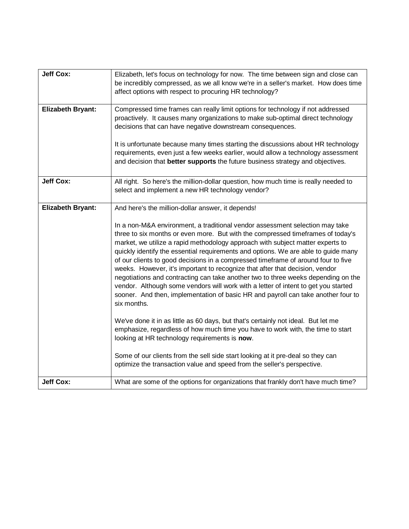| <b>Jeff Cox:</b>         | Elizabeth, let's focus on technology for now. The time between sign and close can<br>be incredibly compressed, as we all know we're in a seller's market. How does time<br>affect options with respect to procuring HR technology?                                                                                                                                                                                                                                                                                                                                                                                                                                                                                                                                                                                                                                                                                                                                                                                                                                                                                                                                                                                                      |
|--------------------------|-----------------------------------------------------------------------------------------------------------------------------------------------------------------------------------------------------------------------------------------------------------------------------------------------------------------------------------------------------------------------------------------------------------------------------------------------------------------------------------------------------------------------------------------------------------------------------------------------------------------------------------------------------------------------------------------------------------------------------------------------------------------------------------------------------------------------------------------------------------------------------------------------------------------------------------------------------------------------------------------------------------------------------------------------------------------------------------------------------------------------------------------------------------------------------------------------------------------------------------------|
| <b>Elizabeth Bryant:</b> | Compressed time frames can really limit options for technology if not addressed<br>proactively. It causes many organizations to make sub-optimal direct technology<br>decisions that can have negative downstream consequences.                                                                                                                                                                                                                                                                                                                                                                                                                                                                                                                                                                                                                                                                                                                                                                                                                                                                                                                                                                                                         |
|                          | It is unfortunate because many times starting the discussions about HR technology<br>requirements, even just a few weeks earlier, would allow a technology assessment<br>and decision that better supports the future business strategy and objectives.                                                                                                                                                                                                                                                                                                                                                                                                                                                                                                                                                                                                                                                                                                                                                                                                                                                                                                                                                                                 |
| <b>Jeff Cox:</b>         | All right. So here's the million-dollar question, how much time is really needed to<br>select and implement a new HR technology vendor?                                                                                                                                                                                                                                                                                                                                                                                                                                                                                                                                                                                                                                                                                                                                                                                                                                                                                                                                                                                                                                                                                                 |
| <b>Elizabeth Bryant:</b> | And here's the million-dollar answer, it depends!<br>In a non-M&A environment, a traditional vendor assessment selection may take<br>three to six months or even more. But with the compressed timeframes of today's<br>market, we utilize a rapid methodology approach with subject matter experts to<br>quickly identify the essential requirements and options. We are able to guide many<br>of our clients to good decisions in a compressed timeframe of around four to five<br>weeks. However, it's important to recognize that after that decision, vendor<br>negotiations and contracting can take another two to three weeks depending on the<br>vendor. Although some vendors will work with a letter of intent to get you started<br>sooner. And then, implementation of basic HR and payroll can take another four to<br>six months.<br>We've done it in as little as 60 days, but that's certainly not ideal. But let me<br>emphasize, regardless of how much time you have to work with, the time to start<br>looking at HR technology requirements is now.<br>Some of our clients from the sell side start looking at it pre-deal so they can<br>optimize the transaction value and speed from the seller's perspective. |
| <b>Jeff Cox:</b>         | What are some of the options for organizations that frankly don't have much time?                                                                                                                                                                                                                                                                                                                                                                                                                                                                                                                                                                                                                                                                                                                                                                                                                                                                                                                                                                                                                                                                                                                                                       |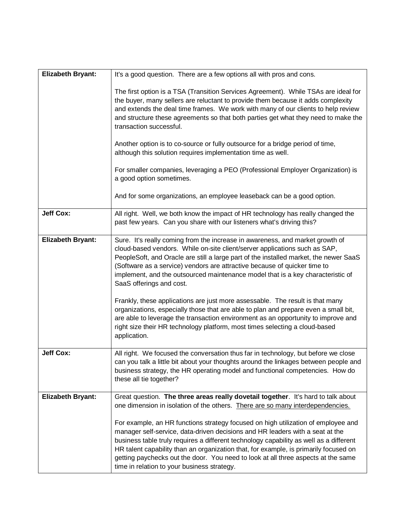| <b>Elizabeth Bryant:</b> | It's a good question. There are a few options all with pros and cons.                                                                                                                                                                                                                                                                                                                                                                                                                    |
|--------------------------|------------------------------------------------------------------------------------------------------------------------------------------------------------------------------------------------------------------------------------------------------------------------------------------------------------------------------------------------------------------------------------------------------------------------------------------------------------------------------------------|
|                          | The first option is a TSA (Transition Services Agreement). While TSAs are ideal for<br>the buyer, many sellers are reluctant to provide them because it adds complexity<br>and extends the deal time frames. We work with many of our clients to help review<br>and structure these agreements so that both parties get what they need to make the<br>transaction successful.                                                                                                            |
|                          | Another option is to co-source or fully outsource for a bridge period of time,<br>although this solution requires implementation time as well.                                                                                                                                                                                                                                                                                                                                           |
|                          | For smaller companies, leveraging a PEO (Professional Employer Organization) is<br>a good option sometimes.                                                                                                                                                                                                                                                                                                                                                                              |
|                          | And for some organizations, an employee leaseback can be a good option.                                                                                                                                                                                                                                                                                                                                                                                                                  |
| <b>Jeff Cox:</b>         | All right. Well, we both know the impact of HR technology has really changed the<br>past few years. Can you share with our listeners what's driving this?                                                                                                                                                                                                                                                                                                                                |
| <b>Elizabeth Bryant:</b> | Sure. It's really coming from the increase in awareness, and market growth of<br>cloud-based vendors. While on-site client/server applications such as SAP,<br>PeopleSoft, and Oracle are still a large part of the installed market, the newer SaaS<br>(Software as a service) vendors are attractive because of quicker time to<br>implement, and the outsourced maintenance model that is a key characteristic of<br>SaaS offerings and cost.                                         |
|                          | Frankly, these applications are just more assessable. The result is that many<br>organizations, especially those that are able to plan and prepare even a small bit,<br>are able to leverage the transaction environment as an opportunity to improve and<br>right size their HR technology platform, most times selecting a cloud-based<br>application.                                                                                                                                 |
| <b>Jeff Cox:</b>         | All right. We focused the conversation thus far in technology, but before we close<br>can you talk a little bit about your thoughts around the linkages between people and<br>business strategy, the HR operating model and functional competencies. How do<br>these all tie together?                                                                                                                                                                                                   |
| <b>Elizabeth Bryant:</b> | Great question. The three areas really dovetail together. It's hard to talk about<br>one dimension in isolation of the others. There are so many interdependencies.                                                                                                                                                                                                                                                                                                                      |
|                          | For example, an HR functions strategy focused on high utilization of employee and<br>manager self-service, data-driven decisions and HR leaders with a seat at the<br>business table truly requires a different technology capability as well as a different<br>HR talent capability than an organization that, for example, is primarily focused on<br>getting paychecks out the door. You need to look at all three aspects at the same<br>time in relation to your business strategy. |